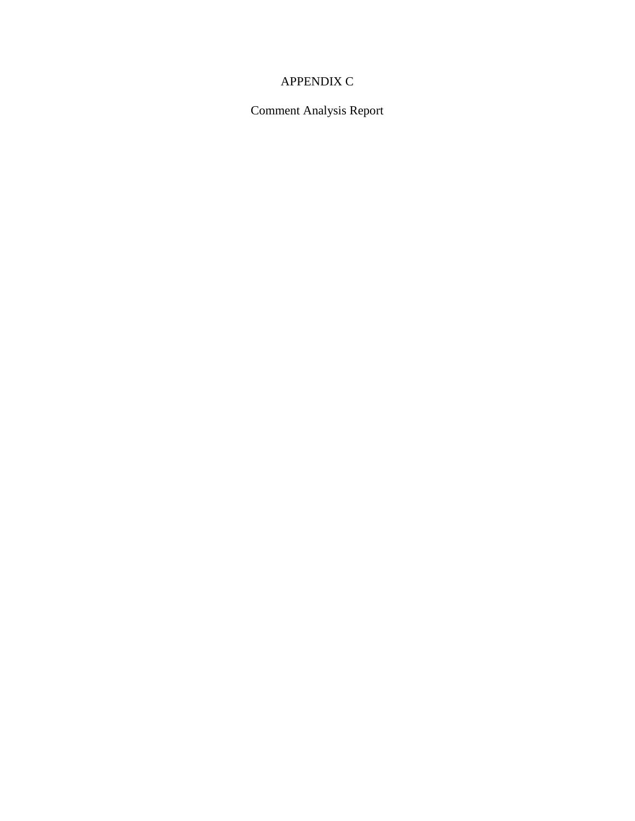# APPENDIX C

Comment Analysis Report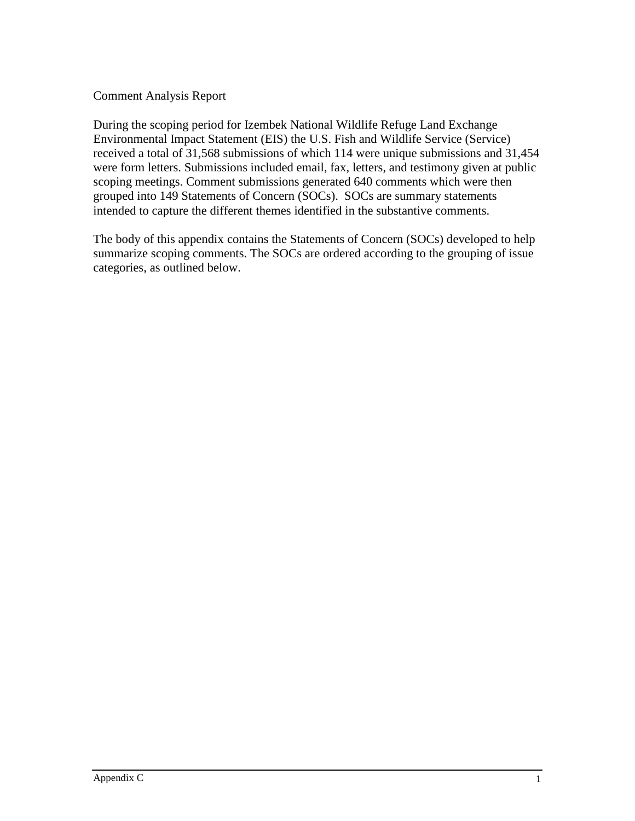### Comment Analysis Report

During the scoping period for Izembek National Wildlife Refuge Land Exchange Environmental Impact Statement (EIS) the U.S. Fish and Wildlife Service (Service) received a total of 31,568 submissions of which 114 were unique submissions and 31,454 were form letters. Submissions included email, fax, letters, and testimony given at public scoping meetings. Comment submissions generated 640 comments which were then grouped into 149 Statements of Concern (SOCs). SOCs are summary statements intended to capture the different themes identified in the substantive comments.

The body of this appendix contains the Statements of Concern (SOCs) developed to help summarize scoping comments. The SOCs are ordered according to the grouping of issue categories, as outlined below.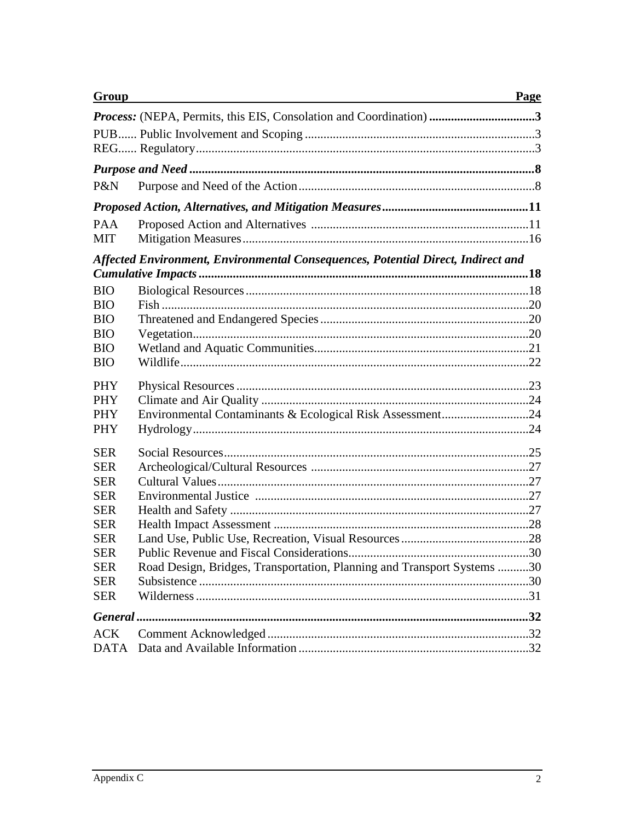| <b>Group</b>                                                                                                                                           |                                                                         | Page |  |
|--------------------------------------------------------------------------------------------------------------------------------------------------------|-------------------------------------------------------------------------|------|--|
|                                                                                                                                                        | Process: (NEPA, Permits, this EIS, Consolation and Coordination) 3      |      |  |
|                                                                                                                                                        |                                                                         |      |  |
|                                                                                                                                                        |                                                                         |      |  |
| P&N                                                                                                                                                    |                                                                         |      |  |
|                                                                                                                                                        |                                                                         |      |  |
| <b>PAA</b><br>MIT                                                                                                                                      |                                                                         |      |  |
| Affected Environment, Environmental Consequences, Potential Direct, Indirect and                                                                       |                                                                         |      |  |
| <b>BIO</b><br><b>BIO</b><br><b>BIO</b><br><b>BIO</b><br><b>BIO</b><br><b>BIO</b>                                                                       |                                                                         |      |  |
| <b>PHY</b><br><b>PHY</b><br><b>PHY</b><br><b>PHY</b>                                                                                                   | Environmental Contaminants & Ecological Risk Assessment24               |      |  |
| <b>SER</b><br><b>SER</b><br><b>SER</b><br><b>SER</b><br><b>SER</b><br><b>SER</b><br><b>SER</b><br><b>SER</b><br><b>SER</b><br><b>SER</b><br><b>SER</b> | Road Design, Bridges, Transportation, Planning and Transport Systems 30 |      |  |
|                                                                                                                                                        |                                                                         |      |  |
| <b>ACK</b><br><b>DATA</b>                                                                                                                              |                                                                         |      |  |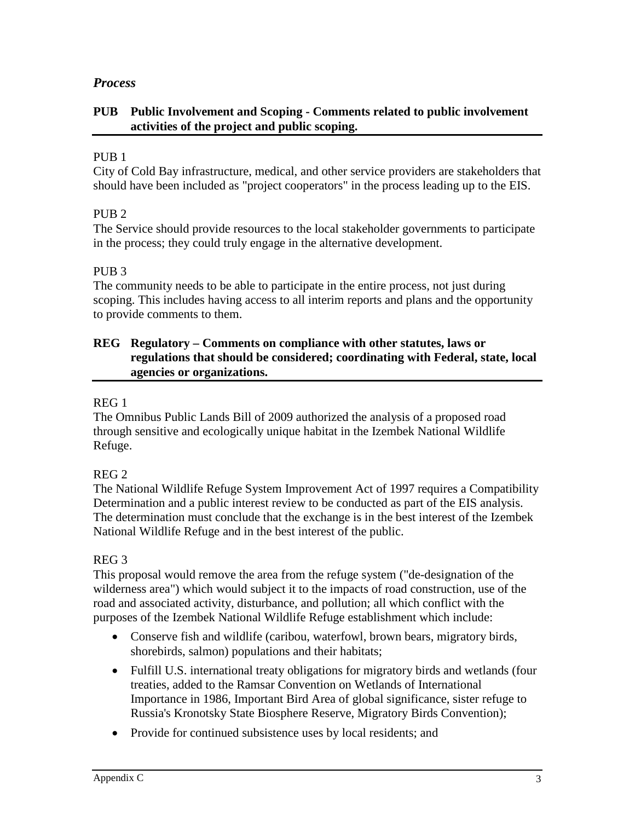# *Process*

### **PUB Public Involvement and Scoping - Comments related to public involvement activities of the project and public scoping.**

### PUB<sub>1</sub>

City of Cold Bay infrastructure, medical, and other service providers are stakeholders that should have been included as "project cooperators" in the process leading up to the EIS.

# PUB<sub>2</sub>

The Service should provide resources to the local stakeholder governments to participate in the process; they could truly engage in the alternative development.

### PUB<sub>3</sub>

The community needs to be able to participate in the entire process, not just during scoping. This includes having access to all interim reports and plans and the opportunity to provide comments to them.

### **REG Regulatory – Comments on compliance with other statutes, laws or regulations that should be considered; coordinating with Federal, state, local agencies or organizations.**

### REG 1

The Omnibus Public Lands Bill of 2009 authorized the analysis of a proposed road through sensitive and ecologically unique habitat in the Izembek National Wildlife Refuge.

# REG 2

The National Wildlife Refuge System Improvement Act of 1997 requires a Compatibility Determination and a public interest review to be conducted as part of the EIS analysis. The determination must conclude that the exchange is in the best interest of the Izembek National Wildlife Refuge and in the best interest of the public.

### REG 3

This proposal would remove the area from the refuge system ("de-designation of the wilderness area") which would subject it to the impacts of road construction, use of the road and associated activity, disturbance, and pollution; all which conflict with the purposes of the Izembek National Wildlife Refuge establishment which include:

- Conserve fish and wildlife (caribou, waterfowl, brown bears, migratory birds, shorebirds, salmon) populations and their habitats;
- Fulfill U.S. international treaty obligations for migratory birds and wetlands (four treaties, added to the Ramsar Convention on Wetlands of International Importance in 1986, Important Bird Area of global significance, sister refuge to Russia's Kronotsky State Biosphere Reserve, Migratory Birds Convention);
- Provide for continued subsistence uses by local residents; and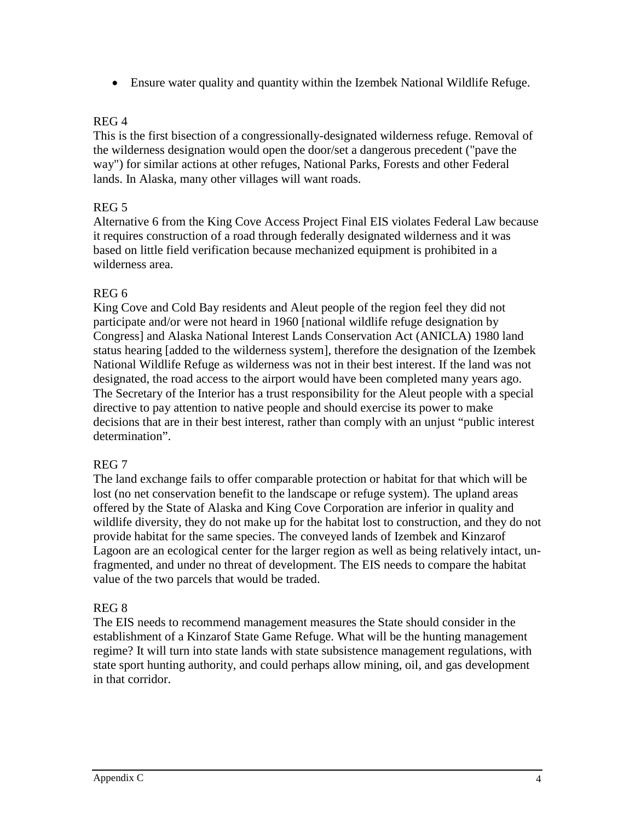• Ensure water quality and quantity within the Izembek National Wildlife Refuge.

### REG 4

This is the first bisection of a congressionally-designated wilderness refuge. Removal of the wilderness designation would open the door/set a dangerous precedent ("pave the way") for similar actions at other refuges, National Parks, Forests and other Federal lands. In Alaska, many other villages will want roads.

# REG 5

Alternative 6 from the King Cove Access Project Final EIS violates Federal Law because it requires construction of a road through federally designated wilderness and it was based on little field verification because mechanized equipment is prohibited in a wilderness area.

### REG 6

King Cove and Cold Bay residents and Aleut people of the region feel they did not participate and/or were not heard in 1960 [national wildlife refuge designation by Congress] and Alaska National Interest Lands Conservation Act (ANICLA) 1980 land status hearing [added to the wilderness system], therefore the designation of the Izembek National Wildlife Refuge as wilderness was not in their best interest. If the land was not designated, the road access to the airport would have been completed many years ago. The Secretary of the Interior has a trust responsibility for the Aleut people with a special directive to pay attention to native people and should exercise its power to make decisions that are in their best interest, rather than comply with an unjust "public interest determination".

# REG 7

The land exchange fails to offer comparable protection or habitat for that which will be lost (no net conservation benefit to the landscape or refuge system). The upland areas offered by the State of Alaska and King Cove Corporation are inferior in quality and wildlife diversity, they do not make up for the habitat lost to construction, and they do not provide habitat for the same species. The conveyed lands of Izembek and Kinzarof Lagoon are an ecological center for the larger region as well as being relatively intact, unfragmented, and under no threat of development. The EIS needs to compare the habitat value of the two parcels that would be traded.

# REG 8

The EIS needs to recommend management measures the State should consider in the establishment of a Kinzarof State Game Refuge. What will be the hunting management regime? It will turn into state lands with state subsistence management regulations, with state sport hunting authority, and could perhaps allow mining, oil, and gas development in that corridor.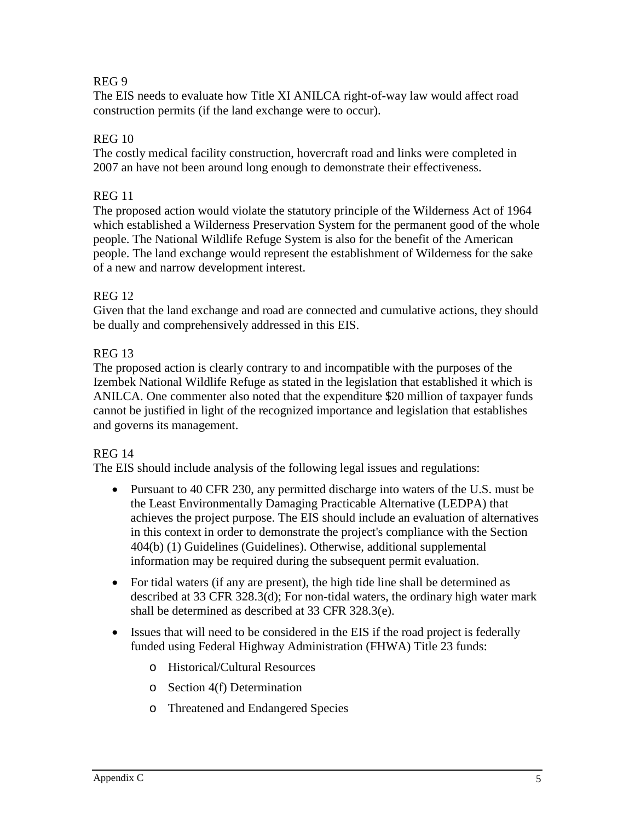### REG 9

The EIS needs to evaluate how Title XI ANILCA right-of-way law would affect road construction permits (if the land exchange were to occur).

### REG 10

The costly medical facility construction, hovercraft road and links were completed in 2007 an have not been around long enough to demonstrate their effectiveness.

### REG 11

The proposed action would violate the statutory principle of the Wilderness Act of 1964 which established a Wilderness Preservation System for the permanent good of the whole people. The National Wildlife Refuge System is also for the benefit of the American people. The land exchange would represent the establishment of Wilderness for the sake of a new and narrow development interest.

### REG 12

Given that the land exchange and road are connected and cumulative actions, they should be dually and comprehensively addressed in this EIS.

### REG 13

The proposed action is clearly contrary to and incompatible with the purposes of the Izembek National Wildlife Refuge as stated in the legislation that established it which is ANILCA. One commenter also noted that the expenditure \$20 million of taxpayer funds cannot be justified in light of the recognized importance and legislation that establishes and governs its management.

### REG 14

The EIS should include analysis of the following legal issues and regulations:

- Pursuant to 40 CFR 230, any permitted discharge into waters of the U.S. must be the Least Environmentally Damaging Practicable Alternative (LEDPA) that achieves the project purpose. The EIS should include an evaluation of alternatives in this context in order to demonstrate the project's compliance with the Section 404(b) (1) Guidelines (Guidelines). Otherwise, additional supplemental information may be required during the subsequent permit evaluation.
- For tidal waters (if any are present), the high tide line shall be determined as described at 33 CFR 328.3(d); For non-tidal waters, the ordinary high water mark shall be determined as described at 33 CFR 328.3(e).
- Issues that will need to be considered in the EIS if the road project is federally funded using Federal Highway Administration (FHWA) Title 23 funds:
	- o Historical/Cultural Resources
	- o Section 4(f) Determination
	- o Threatened and Endangered Species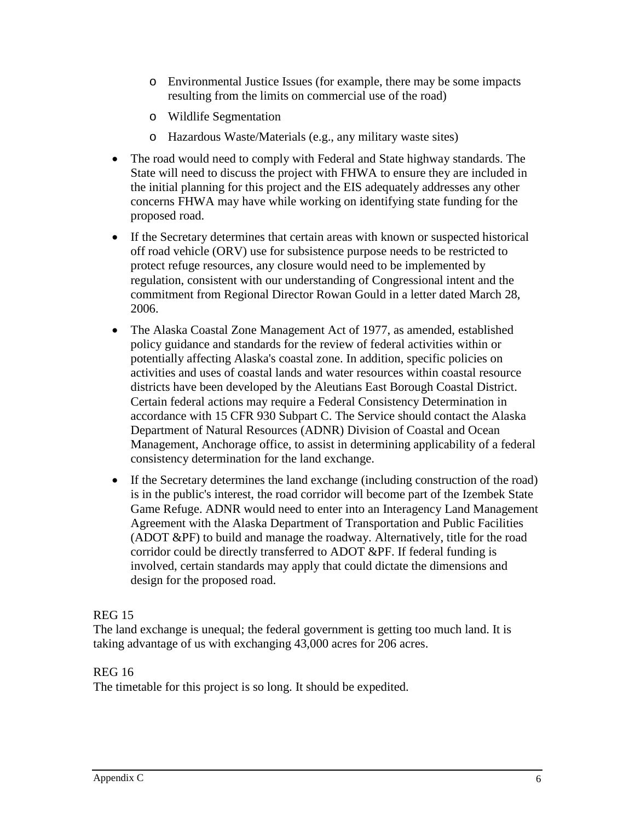- o Environmental Justice Issues (for example, there may be some impacts resulting from the limits on commercial use of the road)
- o Wildlife Segmentation
- o Hazardous Waste/Materials (e.g., any military waste sites)
- The road would need to comply with Federal and State highway standards. The State will need to discuss the project with FHWA to ensure they are included in the initial planning for this project and the EIS adequately addresses any other concerns FHWA may have while working on identifying state funding for the proposed road.
- If the Secretary determines that certain areas with known or suspected historical off road vehicle (ORV) use for subsistence purpose needs to be restricted to protect refuge resources, any closure would need to be implemented by regulation, consistent with our understanding of Congressional intent and the commitment from Regional Director Rowan Gould in a letter dated March 28, 2006.
- The Alaska Coastal Zone Management Act of 1977, as amended, established policy guidance and standards for the review of federal activities within or potentially affecting Alaska's coastal zone. In addition, specific policies on activities and uses of coastal lands and water resources within coastal resource districts have been developed by the Aleutians East Borough Coastal District. Certain federal actions may require a Federal Consistency Determination in accordance with 15 CFR 930 Subpart C. The Service should contact the Alaska Department of Natural Resources (ADNR) Division of Coastal and Ocean Management, Anchorage office, to assist in determining applicability of a federal consistency determination for the land exchange.
- If the Secretary determines the land exchange (including construction of the road) is in the public's interest, the road corridor will become part of the Izembek State Game Refuge. ADNR would need to enter into an Interagency Land Management Agreement with the Alaska Department of Transportation and Public Facilities (ADOT &PF) to build and manage the roadway. Alternatively, title for the road corridor could be directly transferred to ADOT &PF. If federal funding is involved, certain standards may apply that could dictate the dimensions and design for the proposed road.

# REG 15

The land exchange is unequal; the federal government is getting too much land. It is taking advantage of us with exchanging 43,000 acres for 206 acres.

### REG 16

The timetable for this project is so long. It should be expedited.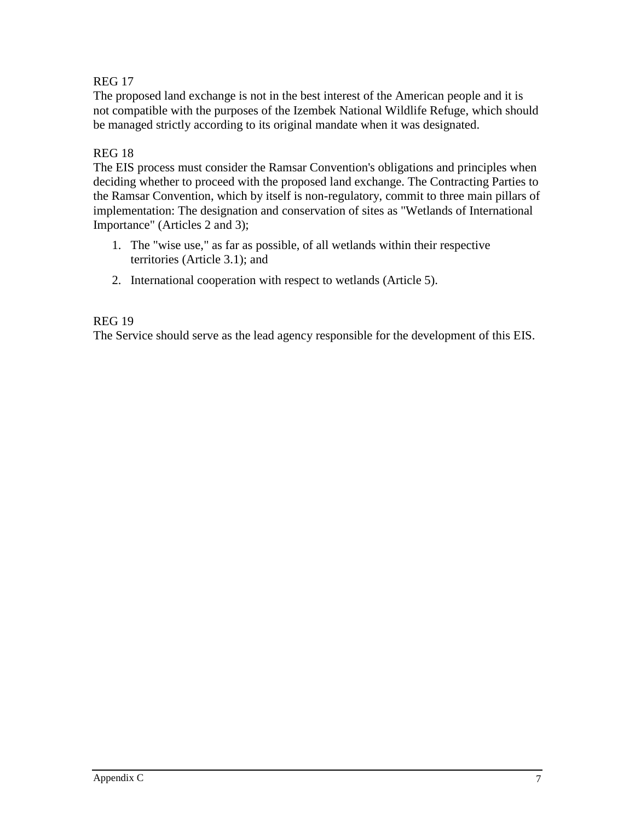## REG 17

The proposed land exchange is not in the best interest of the American people and it is not compatible with the purposes of the Izembek National Wildlife Refuge, which should be managed strictly according to its original mandate when it was designated.

### REG 18

The EIS process must consider the Ramsar Convention's obligations and principles when deciding whether to proceed with the proposed land exchange. The Contracting Parties to the Ramsar Convention, which by itself is non-regulatory, commit to three main pillars of implementation: The designation and conservation of sites as "Wetlands of International Importance" (Articles 2 and 3);

- 1. The "wise use," as far as possible, of all wetlands within their respective territories (Article 3.1); and
- 2. International cooperation with respect to wetlands (Article 5).

#### REG 19

The Service should serve as the lead agency responsible for the development of this EIS.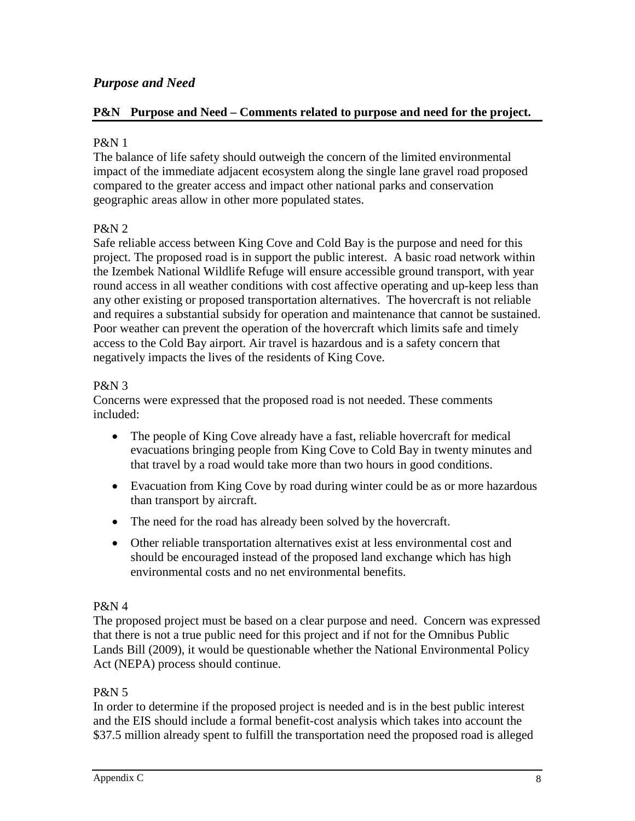# *Purpose and Need*

#### **P&N Purpose and Need – Comments related to purpose and need for the project.**

#### P&N 1

The balance of life safety should outweigh the concern of the limited environmental impact of the immediate adjacent ecosystem along the single lane gravel road proposed compared to the greater access and impact other national parks and conservation geographic areas allow in other more populated states.

#### P&N 2

Safe reliable access between King Cove and Cold Bay is the purpose and need for this project. The proposed road is in support the public interest. A basic road network within the Izembek National Wildlife Refuge will ensure accessible ground transport, with year round access in all weather conditions with cost affective operating and up-keep less than any other existing or proposed transportation alternatives. The hovercraft is not reliable and requires a substantial subsidy for operation and maintenance that cannot be sustained. Poor weather can prevent the operation of the hovercraft which limits safe and timely access to the Cold Bay airport. Air travel is hazardous and is a safety concern that negatively impacts the lives of the residents of King Cove.

#### P&N 3

Concerns were expressed that the proposed road is not needed. These comments included:

- The people of King Cove already have a fast, reliable hovercraft for medical evacuations bringing people from King Cove to Cold Bay in twenty minutes and that travel by a road would take more than two hours in good conditions.
- Evacuation from King Cove by road during winter could be as or more hazardous than transport by aircraft.
- The need for the road has already been solved by the hovercraft.
- Other reliable transportation alternatives exist at less environmental cost and should be encouraged instead of the proposed land exchange which has high environmental costs and no net environmental benefits.

### P&N 4

The proposed project must be based on a clear purpose and need. Concern was expressed that there is not a true public need for this project and if not for the Omnibus Public Lands Bill (2009), it would be questionable whether the National Environmental Policy Act (NEPA) process should continue.

### P&N 5

In order to determine if the proposed project is needed and is in the best public interest and the EIS should include a formal benefit-cost analysis which takes into account the \$37.5 million already spent to fulfill the transportation need the proposed road is alleged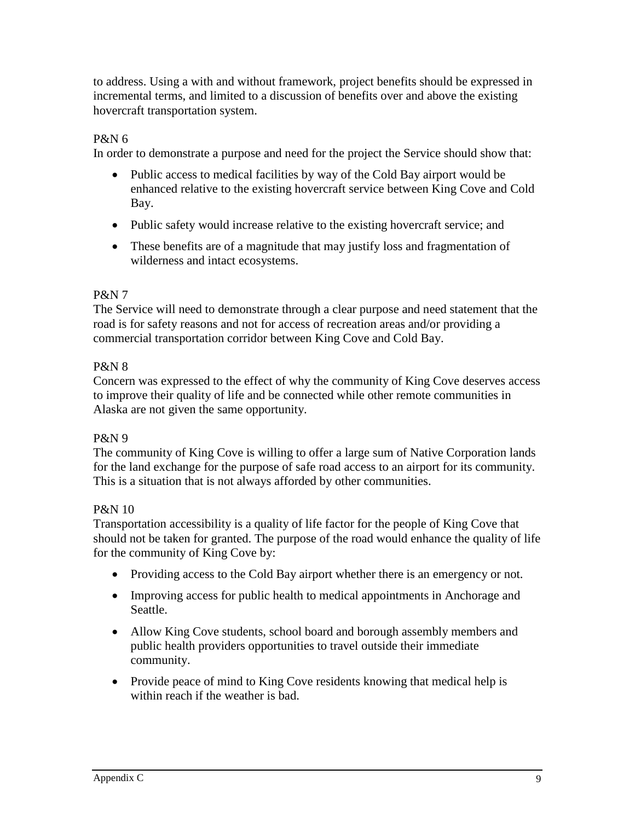to address. Using a with and without framework, project benefits should be expressed in incremental terms, and limited to a discussion of benefits over and above the existing hovercraft transportation system.

### P&N 6

In order to demonstrate a purpose and need for the project the Service should show that:

- Public access to medical facilities by way of the Cold Bay airport would be enhanced relative to the existing hovercraft service between King Cove and Cold Bay.
- Public safety would increase relative to the existing hovercraft service; and
- These benefits are of a magnitude that may justify loss and fragmentation of wilderness and intact ecosystems.

#### P&N 7

The Service will need to demonstrate through a clear purpose and need statement that the road is for safety reasons and not for access of recreation areas and/or providing a commercial transportation corridor between King Cove and Cold Bay.

### P&N 8

Concern was expressed to the effect of why the community of King Cove deserves access to improve their quality of life and be connected while other remote communities in Alaska are not given the same opportunity.

### P&N 9

The community of King Cove is willing to offer a large sum of Native Corporation lands for the land exchange for the purpose of safe road access to an airport for its community. This is a situation that is not always afforded by other communities.

### P&N 10

Transportation accessibility is a quality of life factor for the people of King Cove that should not be taken for granted. The purpose of the road would enhance the quality of life for the community of King Cove by:

- Providing access to the Cold Bay airport whether there is an emergency or not.
- Improving access for public health to medical appointments in Anchorage and Seattle.
- Allow King Cove students, school board and borough assembly members and public health providers opportunities to travel outside their immediate community.
- Provide peace of mind to King Cove residents knowing that medical help is within reach if the weather is bad.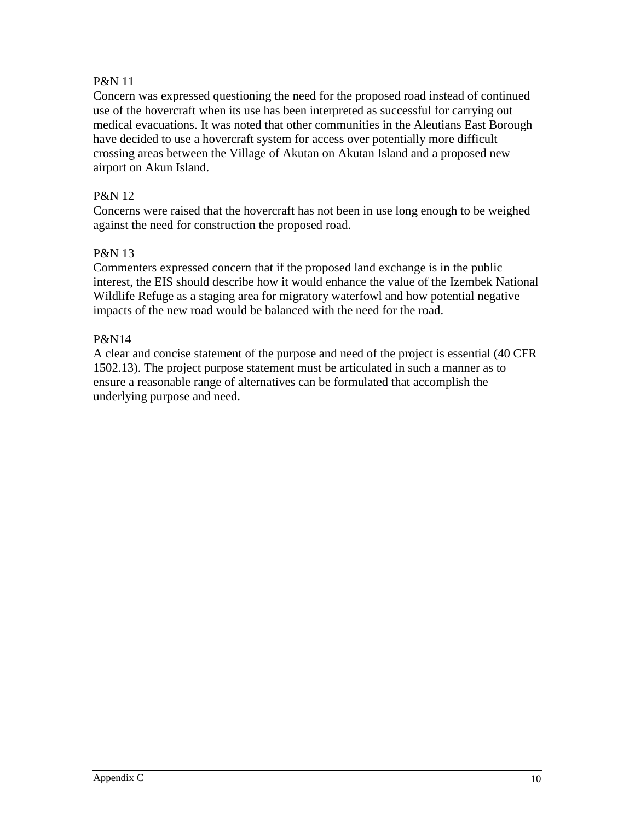### P&N 11

Concern was expressed questioning the need for the proposed road instead of continued use of the hovercraft when its use has been interpreted as successful for carrying out medical evacuations. It was noted that other communities in the Aleutians East Borough have decided to use a hovercraft system for access over potentially more difficult crossing areas between the Village of Akutan on Akutan Island and a proposed new airport on Akun Island.

### P&N 12

Concerns were raised that the hovercraft has not been in use long enough to be weighed against the need for construction the proposed road.

#### P&N 13

Commenters expressed concern that if the proposed land exchange is in the public interest, the EIS should describe how it would enhance the value of the Izembek National Wildlife Refuge as a staging area for migratory waterfowl and how potential negative impacts of the new road would be balanced with the need for the road.

#### P&N14

A clear and concise statement of the purpose and need of the project is essential (40 CFR 1502.13). The project purpose statement must be articulated in such a manner as to ensure a reasonable range of alternatives can be formulated that accomplish the underlying purpose and need.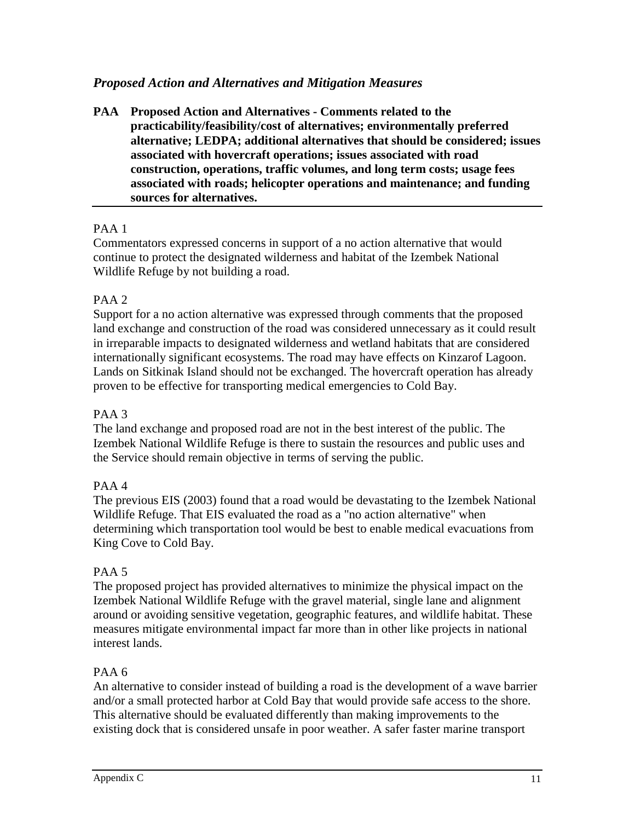# *Proposed Action and Alternatives and Mitigation Measures*

**PAA Proposed Action and Alternatives - Comments related to the practicability/feasibility/cost of alternatives; environmentally preferred alternative; LEDPA; additional alternatives that should be considered; issues associated with hovercraft operations; issues associated with road construction, operations, traffic volumes, and long term costs; usage fees associated with roads; helicopter operations and maintenance; and funding sources for alternatives.**

#### PAA 1

Commentators expressed concerns in support of a no action alternative that would continue to protect the designated wilderness and habitat of the Izembek National Wildlife Refuge by not building a road.

### PAA 2

Support for a no action alternative was expressed through comments that the proposed land exchange and construction of the road was considered unnecessary as it could result in irreparable impacts to designated wilderness and wetland habitats that are considered internationally significant ecosystems. The road may have effects on Kinzarof Lagoon. Lands on Sitkinak Island should not be exchanged. The hovercraft operation has already proven to be effective for transporting medical emergencies to Cold Bay.

#### PAA 3

The land exchange and proposed road are not in the best interest of the public. The Izembek National Wildlife Refuge is there to sustain the resources and public uses and the Service should remain objective in terms of serving the public.

### PAA 4

The previous EIS (2003) found that a road would be devastating to the Izembek National Wildlife Refuge. That EIS evaluated the road as a "no action alternative" when determining which transportation tool would be best to enable medical evacuations from King Cove to Cold Bay.

### PAA 5

The proposed project has provided alternatives to minimize the physical impact on the Izembek National Wildlife Refuge with the gravel material, single lane and alignment around or avoiding sensitive vegetation, geographic features, and wildlife habitat. These measures mitigate environmental impact far more than in other like projects in national interest lands.

#### PAA 6

An alternative to consider instead of building a road is the development of a wave barrier and/or a small protected harbor at Cold Bay that would provide safe access to the shore. This alternative should be evaluated differently than making improvements to the existing dock that is considered unsafe in poor weather. A safer faster marine transport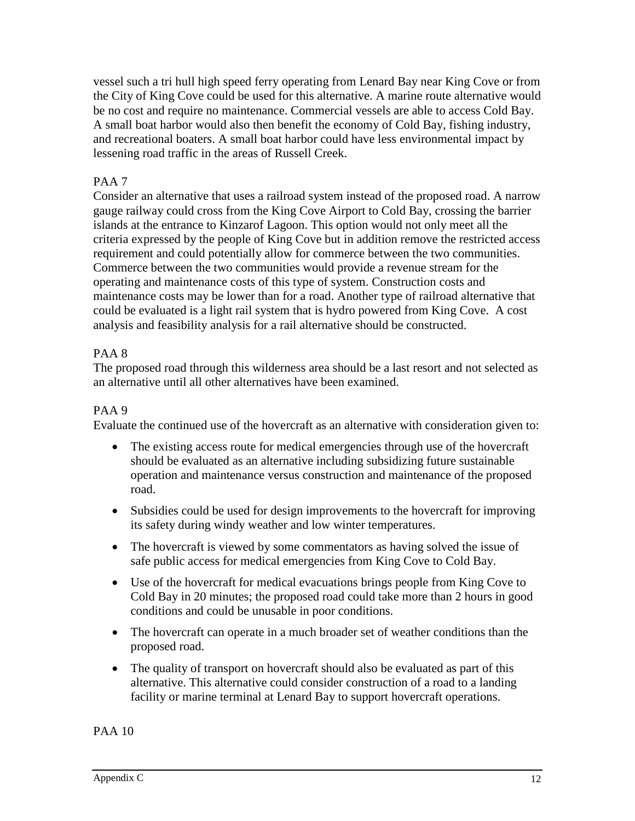vessel such a tri hull high speed ferry operating from Lenard Bay near King Cove or from the City of King Cove could be used for this alternative. A marine route alternative would be no cost and require no maintenance. Commercial vessels are able to access Cold Bay. A small boat harbor would also then benefit the economy of Cold Bay, fishing industry, and recreational boaters. A small boat harbor could have less environmental impact by lessening road traffic in the areas of Russell Creek.

## PAA 7

Consider an alternative that uses a railroad system instead of the proposed road. A narrow gauge railway could cross from the King Cove Airport to Cold Bay, crossing the barrier islands at the entrance to Kinzarof Lagoon. This option would not only meet all the criteria expressed by the people of King Cove but in addition remove the restricted access requirement and could potentially allow for commerce between the two communities. Commerce between the two communities would provide a revenue stream for the operating and maintenance costs of this type of system. Construction costs and maintenance costs may be lower than for a road. Another type of railroad alternative that could be evaluated is a light rail system that is hydro powered from King Cove. A cost analysis and feasibility analysis for a rail alternative should be constructed.

### PAA 8

The proposed road through this wilderness area should be a last resort and not selected as an alternative until all other alternatives have been examined.

### PAA 9

Evaluate the continued use of the hovercraft as an alternative with consideration given to:

- The existing access route for medical emergencies through use of the hovercraft should be evaluated as an alternative including subsidizing future sustainable operation and maintenance versus construction and maintenance of the proposed road.
- Subsidies could be used for design improvements to the hovercraft for improving its safety during windy weather and low winter temperatures.
- The hovercraft is viewed by some commentators as having solved the issue of safe public access for medical emergencies from King Cove to Cold Bay.
- Use of the hovercraft for medical evacuations brings people from King Cove to Cold Bay in 20 minutes; the proposed road could take more than 2 hours in good conditions and could be unusable in poor conditions.
- The hovercraft can operate in a much broader set of weather conditions than the proposed road.
- The quality of transport on hovercraft should also be evaluated as part of this alternative. This alternative could consider construction of a road to a landing facility or marine terminal at Lenard Bay to support hovercraft operations.

PAA 10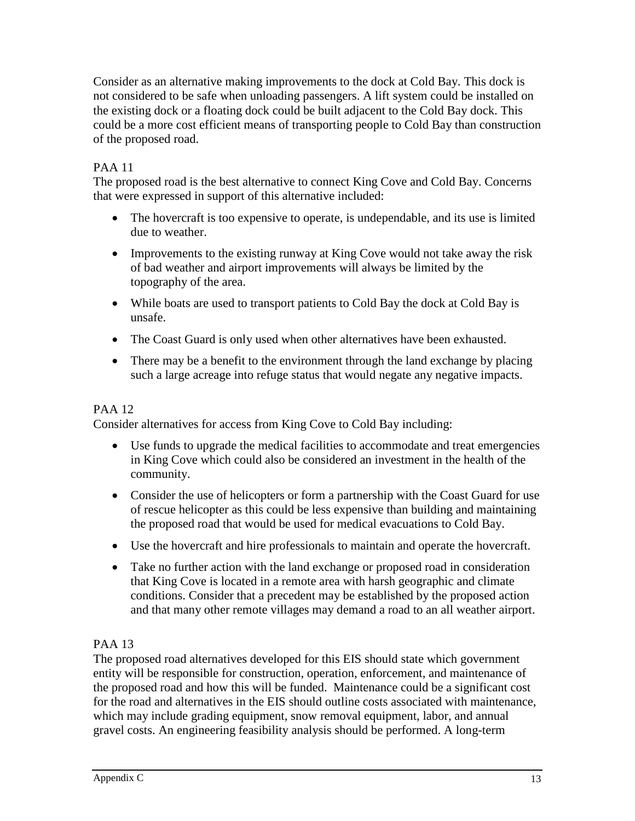Consider as an alternative making improvements to the dock at Cold Bay. This dock is not considered to be safe when unloading passengers. A lift system could be installed on the existing dock or a floating dock could be built adjacent to the Cold Bay dock. This could be a more cost efficient means of transporting people to Cold Bay than construction of the proposed road.

# PAA 11

The proposed road is the best alternative to connect King Cove and Cold Bay. Concerns that were expressed in support of this alternative included:

- The hovercraft is too expensive to operate, is undependable, and its use is limited due to weather.
- Improvements to the existing runway at King Cove would not take away the risk of bad weather and airport improvements will always be limited by the topography of the area.
- While boats are used to transport patients to Cold Bay the dock at Cold Bay is unsafe.
- The Coast Guard is only used when other alternatives have been exhausted.
- There may be a benefit to the environment through the land exchange by placing such a large acreage into refuge status that would negate any negative impacts.

# PAA 12

Consider alternatives for access from King Cove to Cold Bay including:

- Use funds to upgrade the medical facilities to accommodate and treat emergencies in King Cove which could also be considered an investment in the health of the community.
- Consider the use of helicopters or form a partnership with the Coast Guard for use of rescue helicopter as this could be less expensive than building and maintaining the proposed road that would be used for medical evacuations to Cold Bay.
- Use the hovercraft and hire professionals to maintain and operate the hovercraft.
- Take no further action with the land exchange or proposed road in consideration that King Cove is located in a remote area with harsh geographic and climate conditions. Consider that a precedent may be established by the proposed action and that many other remote villages may demand a road to an all weather airport.

# PAA 13

The proposed road alternatives developed for this EIS should state which government entity will be responsible for construction, operation, enforcement, and maintenance of the proposed road and how this will be funded. Maintenance could be a significant cost for the road and alternatives in the EIS should outline costs associated with maintenance, which may include grading equipment, snow removal equipment, labor, and annual gravel costs. An engineering feasibility analysis should be performed. A long-term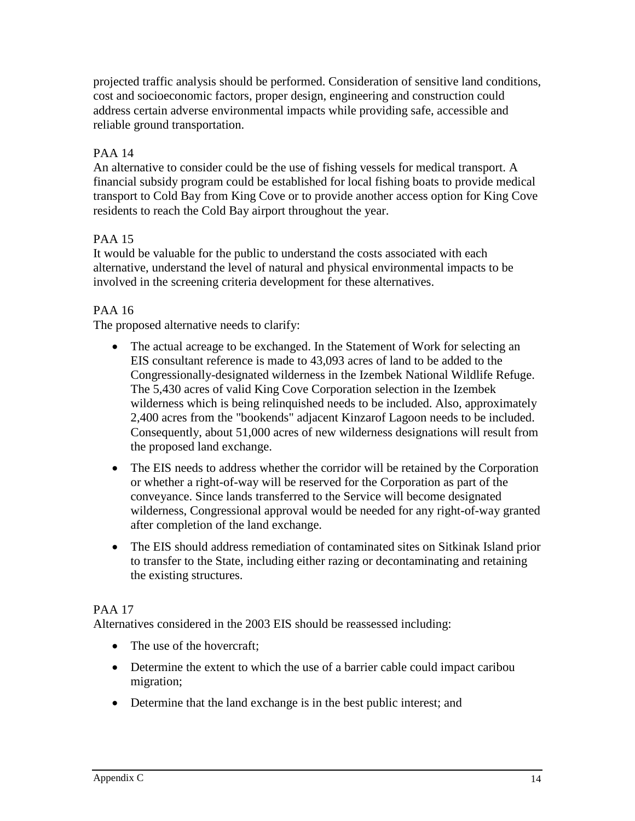projected traffic analysis should be performed. Consideration of sensitive land conditions, cost and socioeconomic factors, proper design, engineering and construction could address certain adverse environmental impacts while providing safe, accessible and reliable ground transportation.

# PAA 14

An alternative to consider could be the use of fishing vessels for medical transport. A financial subsidy program could be established for local fishing boats to provide medical transport to Cold Bay from King Cove or to provide another access option for King Cove residents to reach the Cold Bay airport throughout the year.

# PAA 15

It would be valuable for the public to understand the costs associated with each alternative, understand the level of natural and physical environmental impacts to be involved in the screening criteria development for these alternatives.

### PAA 16

The proposed alternative needs to clarify:

- The actual acreage to be exchanged. In the Statement of Work for selecting an EIS consultant reference is made to 43,093 acres of land to be added to the Congressionally-designated wilderness in the Izembek National Wildlife Refuge. The 5,430 acres of valid King Cove Corporation selection in the Izembek wilderness which is being relinquished needs to be included. Also, approximately 2,400 acres from the "bookends" adjacent Kinzarof Lagoon needs to be included. Consequently, about 51,000 acres of new wilderness designations will result from the proposed land exchange.
- The EIS needs to address whether the corridor will be retained by the Corporation or whether a right-of-way will be reserved for the Corporation as part of the conveyance. Since lands transferred to the Service will become designated wilderness, Congressional approval would be needed for any right-of-way granted after completion of the land exchange.
- The EIS should address remediation of contaminated sites on Sitkinak Island prior to transfer to the State, including either razing or decontaminating and retaining the existing structures.

### PAA 17

Alternatives considered in the 2003 EIS should be reassessed including:

- The use of the hovercraft:
- Determine the extent to which the use of a barrier cable could impact caribou migration;
- Determine that the land exchange is in the best public interest; and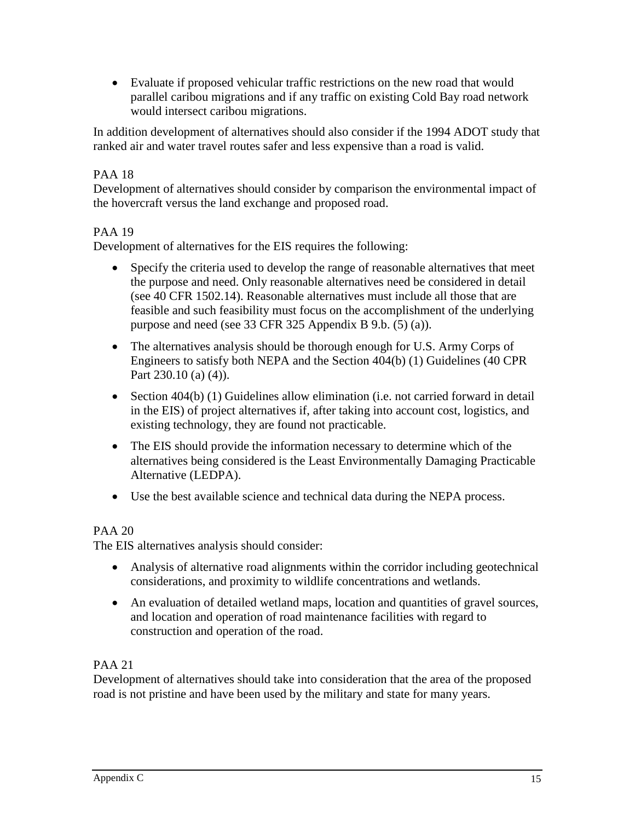• Evaluate if proposed vehicular traffic restrictions on the new road that would parallel caribou migrations and if any traffic on existing Cold Bay road network would intersect caribou migrations.

In addition development of alternatives should also consider if the 1994 ADOT study that ranked air and water travel routes safer and less expensive than a road is valid.

# PAA 18

Development of alternatives should consider by comparison the environmental impact of the hovercraft versus the land exchange and proposed road.

### PAA 19

Development of alternatives for the EIS requires the following:

- Specify the criteria used to develop the range of reasonable alternatives that meet the purpose and need. Only reasonable alternatives need be considered in detail (see 40 CFR 1502.14). Reasonable alternatives must include all those that are feasible and such feasibility must focus on the accomplishment of the underlying purpose and need (see 33 CFR 325 Appendix B 9.b. (5) (a)).
- The alternatives analysis should be thorough enough for U.S. Army Corps of Engineers to satisfy both NEPA and the Section 404(b) (1) Guidelines (40 CPR Part 230.10 (a) (4)).
- Section 404(b) (1) Guidelines allow elimination (i.e. not carried forward in detail in the EIS) of project alternatives if, after taking into account cost, logistics, and existing technology, they are found not practicable.
- The EIS should provide the information necessary to determine which of the alternatives being considered is the Least Environmentally Damaging Practicable Alternative (LEDPA).
- Use the best available science and technical data during the NEPA process.

### PAA 20

The EIS alternatives analysis should consider:

- Analysis of alternative road alignments within the corridor including geotechnical considerations, and proximity to wildlife concentrations and wetlands.
- An evaluation of detailed wetland maps, location and quantities of gravel sources, and location and operation of road maintenance facilities with regard to construction and operation of the road.

### PAA 21

Development of alternatives should take into consideration that the area of the proposed road is not pristine and have been used by the military and state for many years.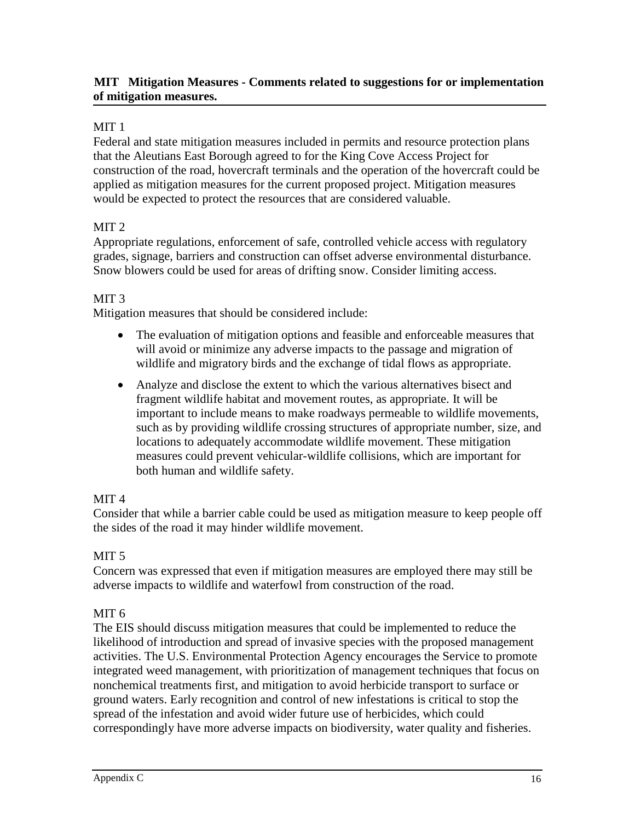### **MIT Mitigation Measures - Comments related to suggestions for or implementation of mitigation measures.**

### MIT 1

Federal and state mitigation measures included in permits and resource protection plans that the Aleutians East Borough agreed to for the King Cove Access Project for construction of the road, hovercraft terminals and the operation of the hovercraft could be applied as mitigation measures for the current proposed project. Mitigation measures would be expected to protect the resources that are considered valuable.

### MIT<sub>2</sub>

Appropriate regulations, enforcement of safe, controlled vehicle access with regulatory grades, signage, barriers and construction can offset adverse environmental disturbance. Snow blowers could be used for areas of drifting snow. Consider limiting access.

### MIT 3

Mitigation measures that should be considered include:

- The evaluation of mitigation options and feasible and enforceable measures that will avoid or minimize any adverse impacts to the passage and migration of wildlife and migratory birds and the exchange of tidal flows as appropriate.
- Analyze and disclose the extent to which the various alternatives bisect and fragment wildlife habitat and movement routes, as appropriate. It will be important to include means to make roadways permeable to wildlife movements, such as by providing wildlife crossing structures of appropriate number, size, and locations to adequately accommodate wildlife movement. These mitigation measures could prevent vehicular-wildlife collisions, which are important for both human and wildlife safety.

### MIT<sub>4</sub>

Consider that while a barrier cable could be used as mitigation measure to keep people off the sides of the road it may hinder wildlife movement.

# MIT<sub>5</sub>

Concern was expressed that even if mitigation measures are employed there may still be adverse impacts to wildlife and waterfowl from construction of the road.

# MIT<sub>6</sub>

The EIS should discuss mitigation measures that could be implemented to reduce the likelihood of introduction and spread of invasive species with the proposed management activities. The U.S. Environmental Protection Agency encourages the Service to promote integrated weed management, with prioritization of management techniques that focus on nonchemical treatments first, and mitigation to avoid herbicide transport to surface or ground waters. Early recognition and control of new infestations is critical to stop the spread of the infestation and avoid wider future use of herbicides, which could correspondingly have more adverse impacts on biodiversity, water quality and fisheries.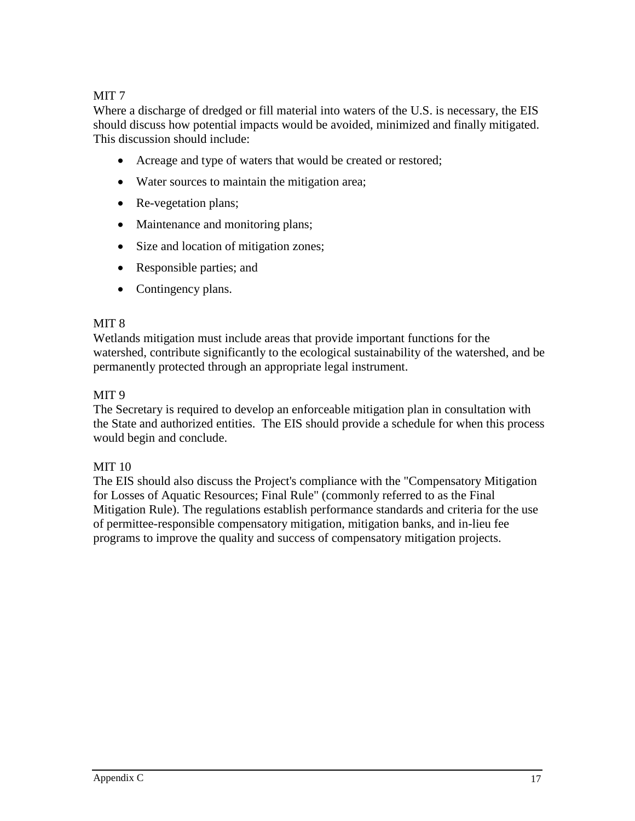# MIT 7

Where a discharge of dredged or fill material into waters of the U.S. is necessary, the EIS should discuss how potential impacts would be avoided, minimized and finally mitigated. This discussion should include:

- Acreage and type of waters that would be created or restored;
- Water sources to maintain the mitigation area;
- Re-vegetation plans;
- Maintenance and monitoring plans;
- Size and location of mitigation zones;
- Responsible parties; and
- Contingency plans.

### MIT 8

Wetlands mitigation must include areas that provide important functions for the watershed, contribute significantly to the ecological sustainability of the watershed, and be permanently protected through an appropriate legal instrument.

### MIT 9

The Secretary is required to develop an enforceable mitigation plan in consultation with the State and authorized entities. The EIS should provide a schedule for when this process would begin and conclude.

### MIT 10

The EIS should also discuss the Project's compliance with the "Compensatory Mitigation for Losses of Aquatic Resources; Final Rule" (commonly referred to as the Final Mitigation Rule). The regulations establish performance standards and criteria for the use of permittee-responsible compensatory mitigation, mitigation banks, and in-lieu fee programs to improve the quality and success of compensatory mitigation projects.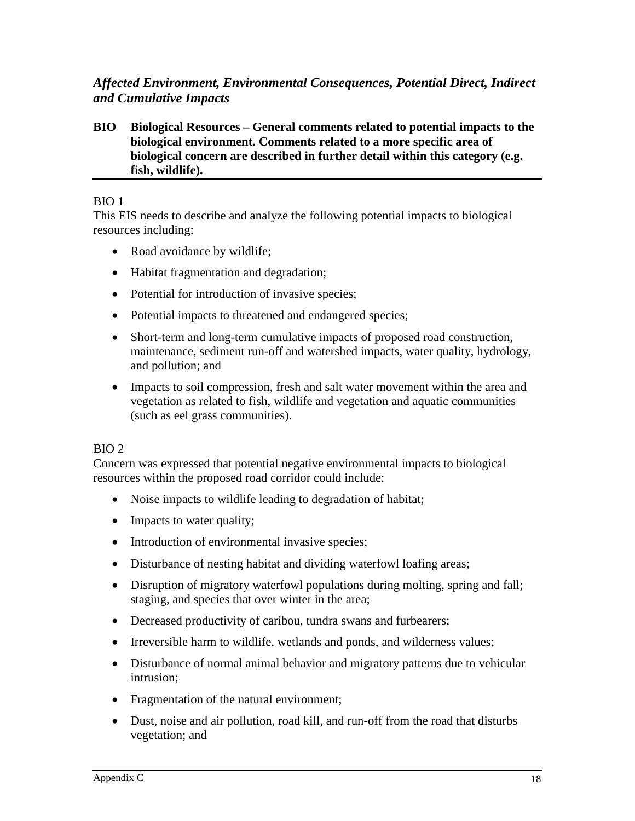# *Affected Environment, Environmental Consequences, Potential Direct, Indirect and Cumulative Impacts*

#### **BIO Biological Resources – General comments related to potential impacts to the biological environment. Comments related to a more specific area of biological concern are described in further detail within this category (e.g. fish, wildlife).**

### BIO 1

This EIS needs to describe and analyze the following potential impacts to biological resources including:

- Road avoidance by wildlife;
- Habitat fragmentation and degradation;
- Potential for introduction of invasive species;
- Potential impacts to threatened and endangered species;
- Short-term and long-term cumulative impacts of proposed road construction, maintenance, sediment run-off and watershed impacts, water quality, hydrology, and pollution; and
- Impacts to soil compression, fresh and salt water movement within the area and vegetation as related to fish, wildlife and vegetation and aquatic communities (such as eel grass communities).

# BIO 2

Concern was expressed that potential negative environmental impacts to biological resources within the proposed road corridor could include:

- Noise impacts to wildlife leading to degradation of habitat;
- Impacts to water quality;
- Introduction of environmental invasive species;
- Disturbance of nesting habitat and dividing waterfowl loafing areas;
- Disruption of migratory waterfowl populations during molting, spring and fall; staging, and species that over winter in the area;
- Decreased productivity of caribou, tundra swans and furbearers;
- Irreversible harm to wildlife, wetlands and ponds, and wilderness values;
- Disturbance of normal animal behavior and migratory patterns due to vehicular intrusion;
- Fragmentation of the natural environment;
- Dust, noise and air pollution, road kill, and run-off from the road that disturbs vegetation; and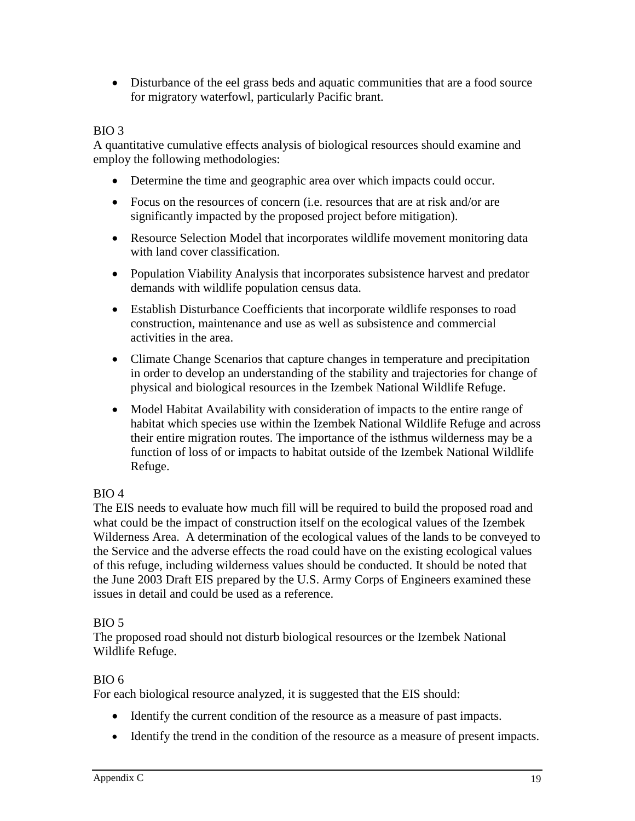• Disturbance of the eel grass beds and aquatic communities that are a food source for migratory waterfowl, particularly Pacific brant.

# BIO 3

A quantitative cumulative effects analysis of biological resources should examine and employ the following methodologies:

- Determine the time and geographic area over which impacts could occur.
- Focus on the resources of concern (i.e. resources that are at risk and/or are significantly impacted by the proposed project before mitigation).
- Resource Selection Model that incorporates wildlife movement monitoring data with land cover classification.
- Population Viability Analysis that incorporates subsistence harvest and predator demands with wildlife population census data.
- Establish Disturbance Coefficients that incorporate wildlife responses to road construction, maintenance and use as well as subsistence and commercial activities in the area.
- Climate Change Scenarios that capture changes in temperature and precipitation in order to develop an understanding of the stability and trajectories for change of physical and biological resources in the Izembek National Wildlife Refuge.
- Model Habitat Availability with consideration of impacts to the entire range of habitat which species use within the Izembek National Wildlife Refuge and across their entire migration routes. The importance of the isthmus wilderness may be a function of loss of or impacts to habitat outside of the Izembek National Wildlife Refuge.

# BIO 4

The EIS needs to evaluate how much fill will be required to build the proposed road and what could be the impact of construction itself on the ecological values of the Izembek Wilderness Area. A determination of the ecological values of the lands to be conveyed to the Service and the adverse effects the road could have on the existing ecological values of this refuge, including wilderness values should be conducted. It should be noted that the June 2003 Draft EIS prepared by the U.S. Army Corps of Engineers examined these issues in detail and could be used as a reference.

# BIO 5

The proposed road should not disturb biological resources or the Izembek National Wildlife Refuge.

# BIO 6

For each biological resource analyzed, it is suggested that the EIS should:

- Identify the current condition of the resource as a measure of past impacts.
- Identify the trend in the condition of the resource as a measure of present impacts.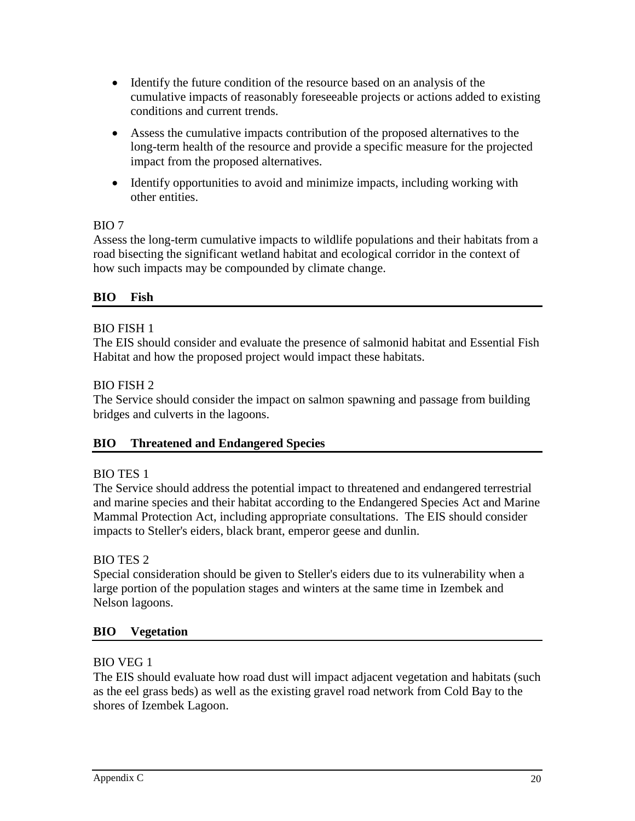- Identify the future condition of the resource based on an analysis of the cumulative impacts of reasonably foreseeable projects or actions added to existing conditions and current trends.
- Assess the cumulative impacts contribution of the proposed alternatives to the long-term health of the resource and provide a specific measure for the projected impact from the proposed alternatives.
- Identify opportunities to avoid and minimize impacts, including working with other entities.

### BIO 7

Assess the long-term cumulative impacts to wildlife populations and their habitats from a road bisecting the significant wetland habitat and ecological corridor in the context of how such impacts may be compounded by climate change.

# **BIO Fish**

### BIO FISH 1

The EIS should consider and evaluate the presence of salmonid habitat and Essential Fish Habitat and how the proposed project would impact these habitats.

### BIO FISH 2

The Service should consider the impact on salmon spawning and passage from building bridges and culverts in the lagoons.

### **BIO Threatened and Endangered Species**

### BIO TES 1

The Service should address the potential impact to threatened and endangered terrestrial and marine species and their habitat according to the Endangered Species Act and Marine Mammal Protection Act, including appropriate consultations. The EIS should consider impacts to Steller's eiders, black brant, emperor geese and dunlin.

# BIO TES 2

Special consideration should be given to Steller's eiders due to its vulnerability when a large portion of the population stages and winters at the same time in Izembek and Nelson lagoons.

### **BIO Vegetation**

### BIO VEG 1

The EIS should evaluate how road dust will impact adjacent vegetation and habitats (such as the eel grass beds) as well as the existing gravel road network from Cold Bay to the shores of Izembek Lagoon.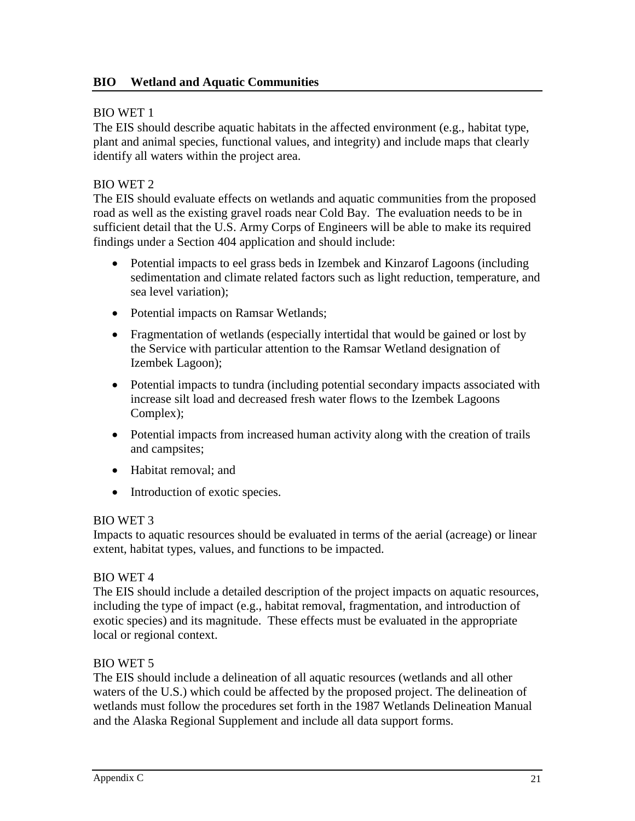#### BIO WET 1

The EIS should describe aquatic habitats in the affected environment (e.g., habitat type, plant and animal species, functional values, and integrity) and include maps that clearly identify all waters within the project area.

#### BIO WET 2

The EIS should evaluate effects on wetlands and aquatic communities from the proposed road as well as the existing gravel roads near Cold Bay. The evaluation needs to be in sufficient detail that the U.S. Army Corps of Engineers will be able to make its required findings under a Section 404 application and should include:

- Potential impacts to eel grass beds in Izembek and Kinzarof Lagoons (including sedimentation and climate related factors such as light reduction, temperature, and sea level variation);
- Potential impacts on Ramsar Wetlands;
- Fragmentation of wetlands (especially intertidal that would be gained or lost by the Service with particular attention to the Ramsar Wetland designation of Izembek Lagoon);
- Potential impacts to tundra (including potential secondary impacts associated with increase silt load and decreased fresh water flows to the Izembek Lagoons Complex);
- Potential impacts from increased human activity along with the creation of trails and campsites;
- Habitat removal: and
- Introduction of exotic species.

#### BIO WET 3

Impacts to aquatic resources should be evaluated in terms of the aerial (acreage) or linear extent, habitat types, values, and functions to be impacted.

#### BIO WET 4

The EIS should include a detailed description of the project impacts on aquatic resources, including the type of impact (e.g., habitat removal, fragmentation, and introduction of exotic species) and its magnitude. These effects must be evaluated in the appropriate local or regional context.

#### BIO WET 5

The EIS should include a delineation of all aquatic resources (wetlands and all other waters of the U.S.) which could be affected by the proposed project. The delineation of wetlands must follow the procedures set forth in the 1987 Wetlands Delineation Manual and the Alaska Regional Supplement and include all data support forms.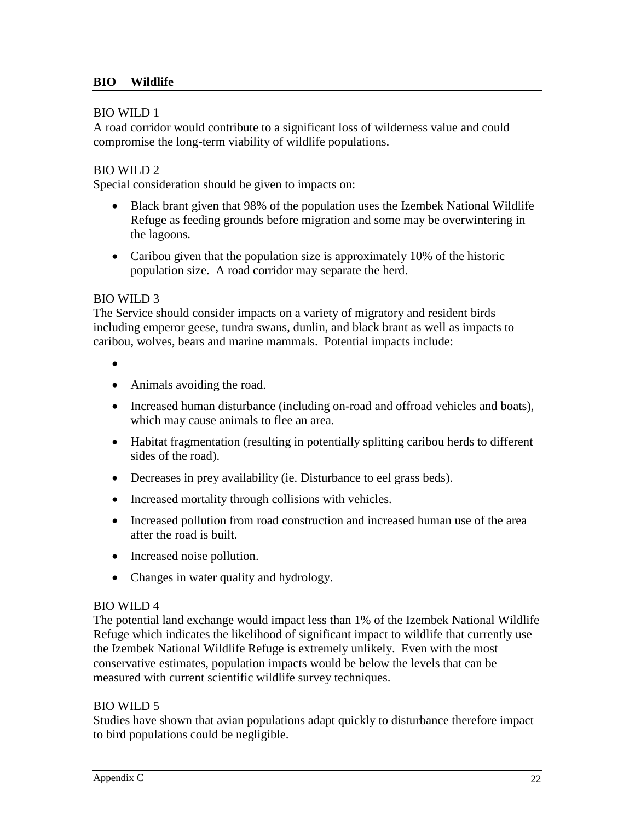#### BIO WILD 1

A road corridor would contribute to a significant loss of wilderness value and could compromise the long-term viability of wildlife populations.

#### BIO WILD 2

Special consideration should be given to impacts on:

- Black brant given that 98% of the population uses the Izembek National Wildlife Refuge as feeding grounds before migration and some may be overwintering in the lagoons.
- Caribou given that the population size is approximately 10% of the historic population size. A road corridor may separate the herd.

#### BIO WILD 3

The Service should consider impacts on a variety of migratory and resident birds including emperor geese, tundra swans, dunlin, and black brant as well as impacts to caribou, wolves, bears and marine mammals. Potential impacts include:

- •
- Animals avoiding the road.
- Increased human disturbance (including on-road and offroad vehicles and boats), which may cause animals to flee an area.
- Habitat fragmentation (resulting in potentially splitting caribou herds to different sides of the road).
- Decreases in prey availability (ie. Disturbance to eel grass beds).
- Increased mortality through collisions with vehicles.
- Increased pollution from road construction and increased human use of the area after the road is built.
- Increased noise pollution.
- Changes in water quality and hydrology.

#### BIO WILD 4

The potential land exchange would impact less than 1% of the Izembek National Wildlife Refuge which indicates the likelihood of significant impact to wildlife that currently use the Izembek National Wildlife Refuge is extremely unlikely. Even with the most conservative estimates, population impacts would be below the levels that can be measured with current scientific wildlife survey techniques.

#### BIO WILD 5

Studies have shown that avian populations adapt quickly to disturbance therefore impact to bird populations could be negligible.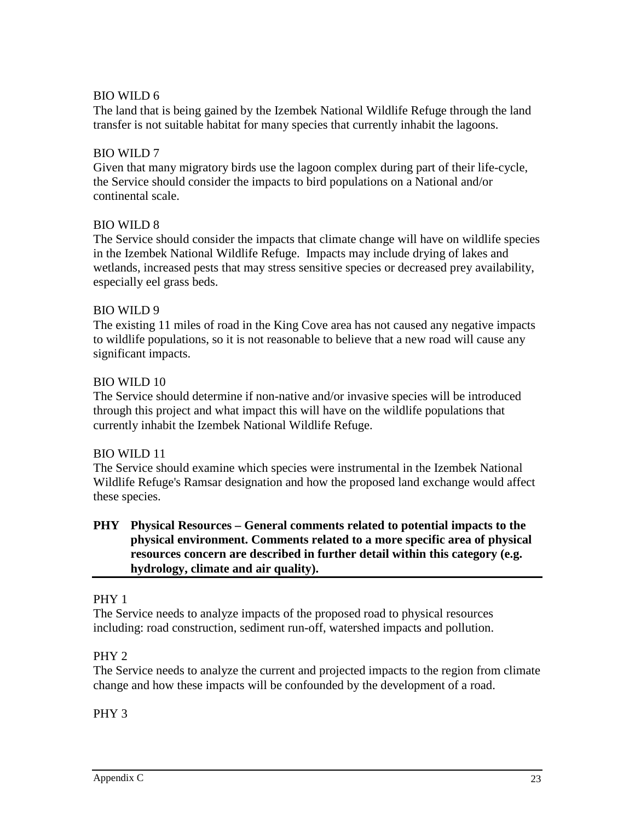### BIO WILD 6

The land that is being gained by the Izembek National Wildlife Refuge through the land transfer is not suitable habitat for many species that currently inhabit the lagoons.

### BIO WILD 7

Given that many migratory birds use the lagoon complex during part of their life-cycle, the Service should consider the impacts to bird populations on a National and/or continental scale.

### BIO WILD 8

The Service should consider the impacts that climate change will have on wildlife species in the Izembek National Wildlife Refuge. Impacts may include drying of lakes and wetlands, increased pests that may stress sensitive species or decreased prey availability, especially eel grass beds.

### BIO WILD 9

The existing 11 miles of road in the King Cove area has not caused any negative impacts to wildlife populations, so it is not reasonable to believe that a new road will cause any significant impacts.

### BIO WILD 10

The Service should determine if non-native and/or invasive species will be introduced through this project and what impact this will have on the wildlife populations that currently inhabit the Izembek National Wildlife Refuge.

### BIO WILD 11

The Service should examine which species were instrumental in the Izembek National Wildlife Refuge's Ramsar designation and how the proposed land exchange would affect these species.

### **PHY Physical Resources – General comments related to potential impacts to the physical environment. Comments related to a more specific area of physical resources concern are described in further detail within this category (e.g. hydrology, climate and air quality).**

### PHY 1

The Service needs to analyze impacts of the proposed road to physical resources including: road construction, sediment run-off, watershed impacts and pollution.

### PHY 2

The Service needs to analyze the current and projected impacts to the region from climate change and how these impacts will be confounded by the development of a road.

# PHY 3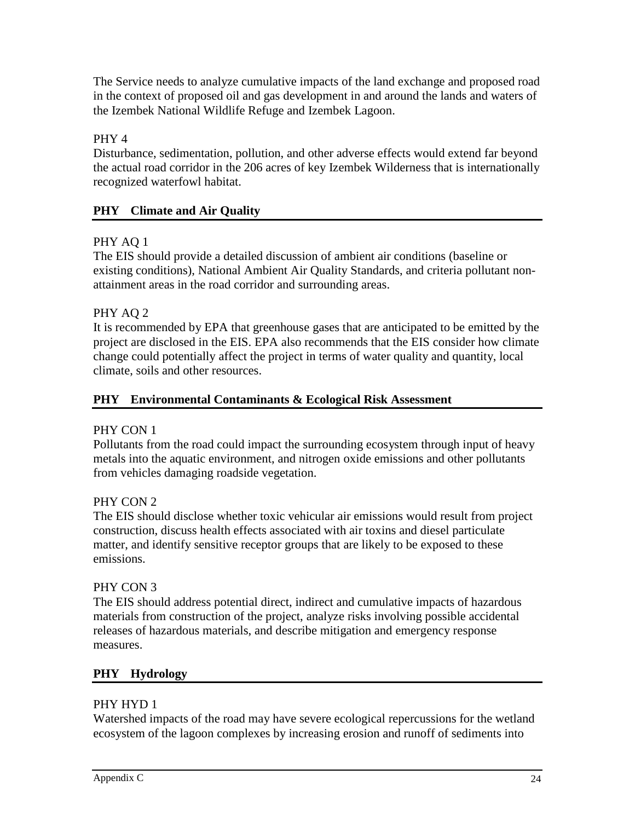The Service needs to analyze cumulative impacts of the land exchange and proposed road in the context of proposed oil and gas development in and around the lands and waters of the Izembek National Wildlife Refuge and Izembek Lagoon.

# PHY 4

Disturbance, sedimentation, pollution, and other adverse effects would extend far beyond the actual road corridor in the 206 acres of key Izembek Wilderness that is internationally recognized waterfowl habitat.

# **PHY Climate and Air Quality**

# PHY AQ 1

The EIS should provide a detailed discussion of ambient air conditions (baseline or existing conditions), National Ambient Air Quality Standards, and criteria pollutant nonattainment areas in the road corridor and surrounding areas.

# PHY AQ 2

It is recommended by EPA that greenhouse gases that are anticipated to be emitted by the project are disclosed in the EIS. EPA also recommends that the EIS consider how climate change could potentially affect the project in terms of water quality and quantity, local climate, soils and other resources.

# **PHY Environmental Contaminants & Ecological Risk Assessment**

# PHY CON 1

Pollutants from the road could impact the surrounding ecosystem through input of heavy metals into the aquatic environment, and nitrogen oxide emissions and other pollutants from vehicles damaging roadside vegetation.

# PHY CON 2

The EIS should disclose whether toxic vehicular air emissions would result from project construction, discuss health effects associated with air toxins and diesel particulate matter, and identify sensitive receptor groups that are likely to be exposed to these emissions.

# PHY CON 3

The EIS should address potential direct, indirect and cumulative impacts of hazardous materials from construction of the project, analyze risks involving possible accidental releases of hazardous materials, and describe mitigation and emergency response measures.

# **PHY Hydrology**

# PHY HYD 1

Watershed impacts of the road may have severe ecological repercussions for the wetland ecosystem of the lagoon complexes by increasing erosion and runoff of sediments into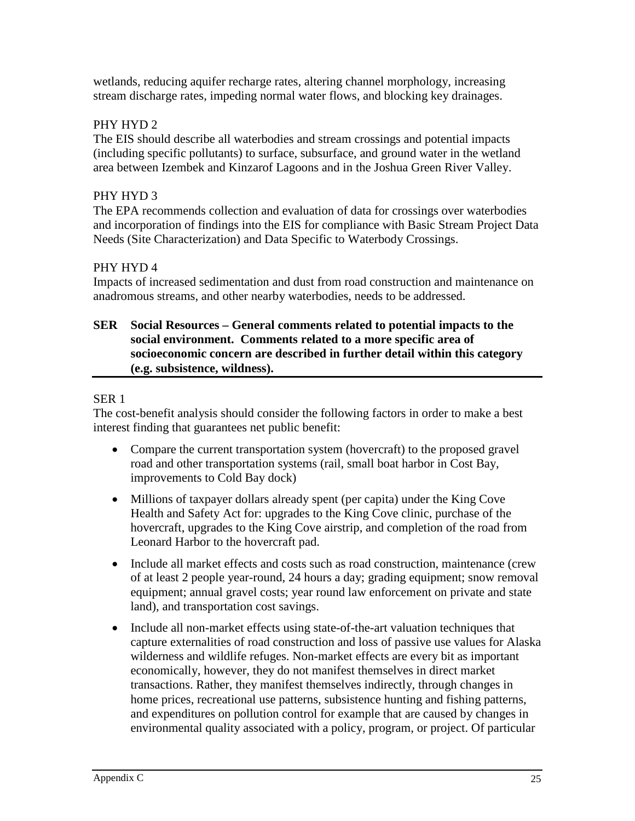wetlands, reducing aquifer recharge rates, altering channel morphology, increasing stream discharge rates, impeding normal water flows, and blocking key drainages.

### PHY HYD 2

The EIS should describe all waterbodies and stream crossings and potential impacts (including specific pollutants) to surface, subsurface, and ground water in the wetland area between Izembek and Kinzarof Lagoons and in the Joshua Green River Valley.

### PHY HYD 3

The EPA recommends collection and evaluation of data for crossings over waterbodies and incorporation of findings into the EIS for compliance with Basic Stream Project Data Needs (Site Characterization) and Data Specific to Waterbody Crossings.

### PHY HYD 4

Impacts of increased sedimentation and dust from road construction and maintenance on anadromous streams, and other nearby waterbodies, needs to be addressed.

#### **SER Social Resources – General comments related to potential impacts to the social environment. Comments related to a more specific area of socioeconomic concern are described in further detail within this category (e.g. subsistence, wildness).**

### SER 1

The cost-benefit analysis should consider the following factors in order to make a best interest finding that guarantees net public benefit:

- Compare the current transportation system (hovercraft) to the proposed gravel road and other transportation systems (rail, small boat harbor in Cost Bay, improvements to Cold Bay dock)
- Millions of taxpayer dollars already spent (per capita) under the King Cove Health and Safety Act for: upgrades to the King Cove clinic, purchase of the hovercraft, upgrades to the King Cove airstrip, and completion of the road from Leonard Harbor to the hovercraft pad.
- Include all market effects and costs such as road construction, maintenance (crew of at least 2 people year-round, 24 hours a day; grading equipment; snow removal equipment; annual gravel costs; year round law enforcement on private and state land), and transportation cost savings.
- Include all non-market effects using state-of-the-art valuation techniques that capture externalities of road construction and loss of passive use values for Alaska wilderness and wildlife refuges. Non-market effects are every bit as important economically, however, they do not manifest themselves in direct market transactions. Rather, they manifest themselves indirectly, through changes in home prices, recreational use patterns, subsistence hunting and fishing patterns, and expenditures on pollution control for example that are caused by changes in environmental quality associated with a policy, program, or project. Of particular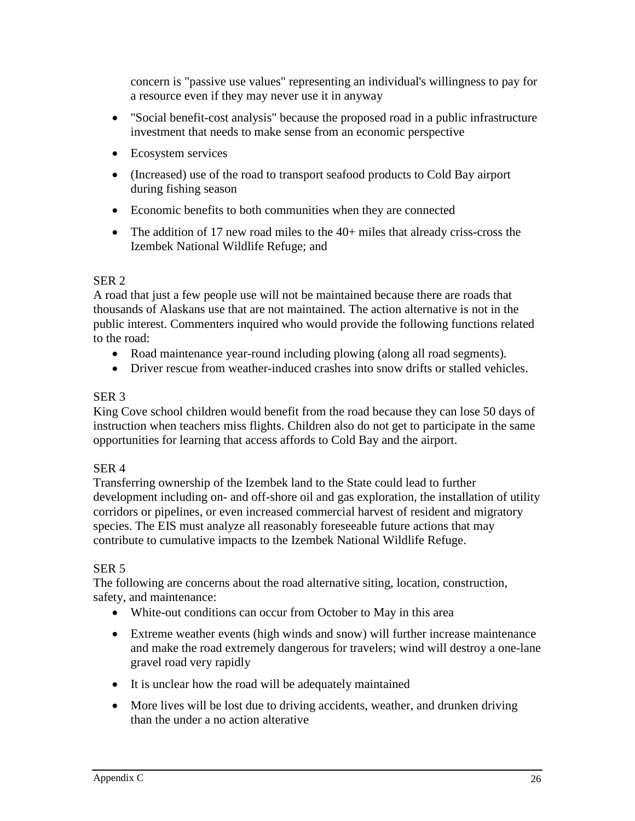concern is "passive use values" representing an individual's willingness to pay for a resource even if they may never use it in anyway

- "Social benefit-cost analysis" because the proposed road in a public infrastructure investment that needs to make sense from an economic perspective
- Ecosystem services
- (Increased) use of the road to transport seafood products to Cold Bay airport during fishing season
- Economic benefits to both communities when they are connected
- The addition of 17 new road miles to the 40+ miles that already criss-cross the Izembek National Wildlife Refuge; and

# SER 2

A road that just a few people use will not be maintained because there are roads that thousands of Alaskans use that are not maintained. The action alternative is not in the public interest. Commenters inquired who would provide the following functions related to the road:

- Road maintenance year-round including plowing (along all road segments).
- Driver rescue from weather-induced crashes into snow drifts or stalled vehicles.

### SER 3

King Cove school children would benefit from the road because they can lose 50 days of instruction when teachers miss flights. Children also do not get to participate in the same opportunities for learning that access affords to Cold Bay and the airport.

### SER 4

Transferring ownership of the Izembek land to the State could lead to further development including on- and off-shore oil and gas exploration, the installation of utility corridors or pipelines, or even increased commercial harvest of resident and migratory species. The EIS must analyze all reasonably foreseeable future actions that may contribute to cumulative impacts to the Izembek National Wildlife Refuge.

### SER 5

The following are concerns about the road alternative siting, location, construction, safety, and maintenance:

- White-out conditions can occur from October to May in this area
- Extreme weather events (high winds and snow) will further increase maintenance and make the road extremely dangerous for travelers; wind will destroy a one-lane gravel road very rapidly
- It is unclear how the road will be adequately maintained
- More lives will be lost due to driving accidents, weather, and drunken driving than the under a no action alterative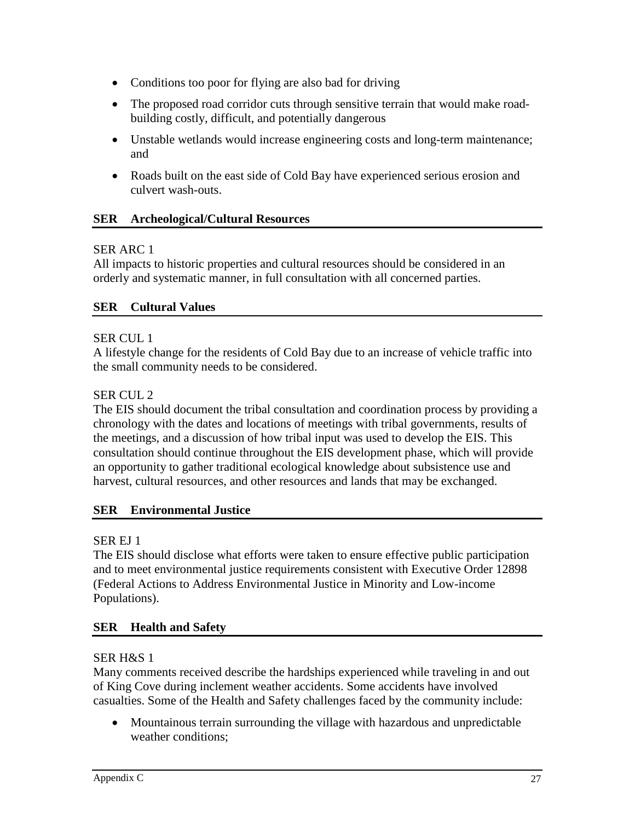- Conditions too poor for flying are also bad for driving
- The proposed road corridor cuts through sensitive terrain that would make roadbuilding costly, difficult, and potentially dangerous
- Unstable wetlands would increase engineering costs and long-term maintenance; and
- Roads built on the east side of Cold Bay have experienced serious erosion and culvert wash-outs.

### **SER Archeological/Cultural Resources**

### SER ARC 1

All impacts to historic properties and cultural resources should be considered in an orderly and systematic manner, in full consultation with all concerned parties.

### **SER Cultural Values**

### SER CUL 1

A lifestyle change for the residents of Cold Bay due to an increase of vehicle traffic into the small community needs to be considered.

### SER CUL 2

The EIS should document the tribal consultation and coordination process by providing a chronology with the dates and locations of meetings with tribal governments, results of the meetings, and a discussion of how tribal input was used to develop the EIS. This consultation should continue throughout the EIS development phase, which will provide an opportunity to gather traditional ecological knowledge about subsistence use and harvest, cultural resources, and other resources and lands that may be exchanged.

# **SER Environmental Justice**

# SER EJ 1

The EIS should disclose what efforts were taken to ensure effective public participation and to meet environmental justice requirements consistent with Executive Order 12898 (Federal Actions to Address Environmental Justice in Minority and Low-income Populations).

# **SER Health and Safety**

### SER H&S 1

Many comments received describe the hardships experienced while traveling in and out of King Cove during inclement weather accidents. Some accidents have involved casualties. Some of the Health and Safety challenges faced by the community include:

• Mountainous terrain surrounding the village with hazardous and unpredictable weather conditions;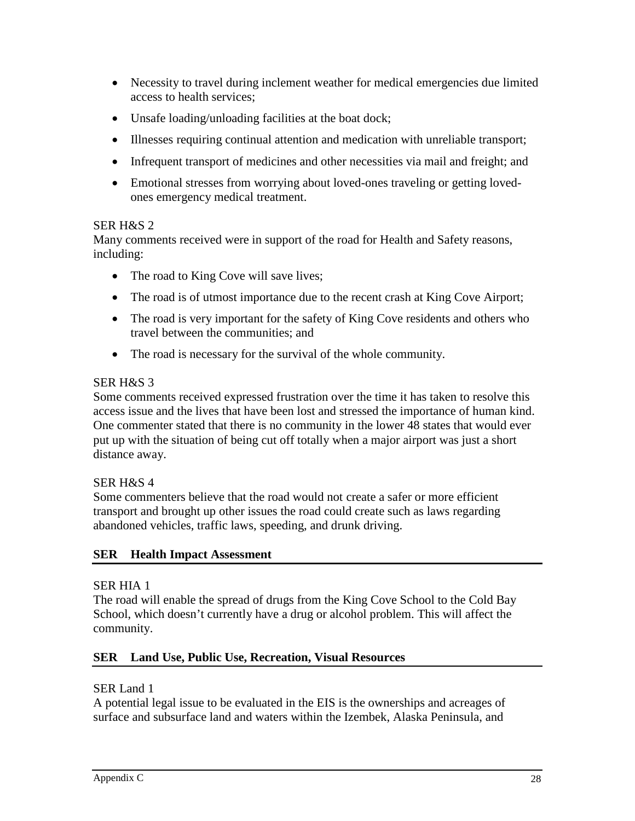- Necessity to travel during inclement weather for medical emergencies due limited access to health services;
- Unsafe loading/unloading facilities at the boat dock;
- Illnesses requiring continual attention and medication with unreliable transport;
- Infrequent transport of medicines and other necessities via mail and freight; and
- Emotional stresses from worrying about loved-ones traveling or getting lovedones emergency medical treatment.

### SER H&S 2

Many comments received were in support of the road for Health and Safety reasons, including:

- The road to King Cove will save lives;
- The road is of utmost importance due to the recent crash at King Cove Airport;
- The road is very important for the safety of King Cove residents and others who travel between the communities; and
- The road is necessary for the survival of the whole community.

# SER H&S 3

Some comments received expressed frustration over the time it has taken to resolve this access issue and the lives that have been lost and stressed the importance of human kind. One commenter stated that there is no community in the lower 48 states that would ever put up with the situation of being cut off totally when a major airport was just a short distance away.

# SER H&S 4

Some commenters believe that the road would not create a safer or more efficient transport and brought up other issues the road could create such as laws regarding abandoned vehicles, traffic laws, speeding, and drunk driving.

# **SER Health Impact Assessment**

# SER HIA 1

The road will enable the spread of drugs from the King Cove School to the Cold Bay School, which doesn't currently have a drug or alcohol problem. This will affect the community.

# **SER Land Use, Public Use, Recreation, Visual Resources**

# SER Land 1

A potential legal issue to be evaluated in the EIS is the ownerships and acreages of surface and subsurface land and waters within the Izembek, Alaska Peninsula, and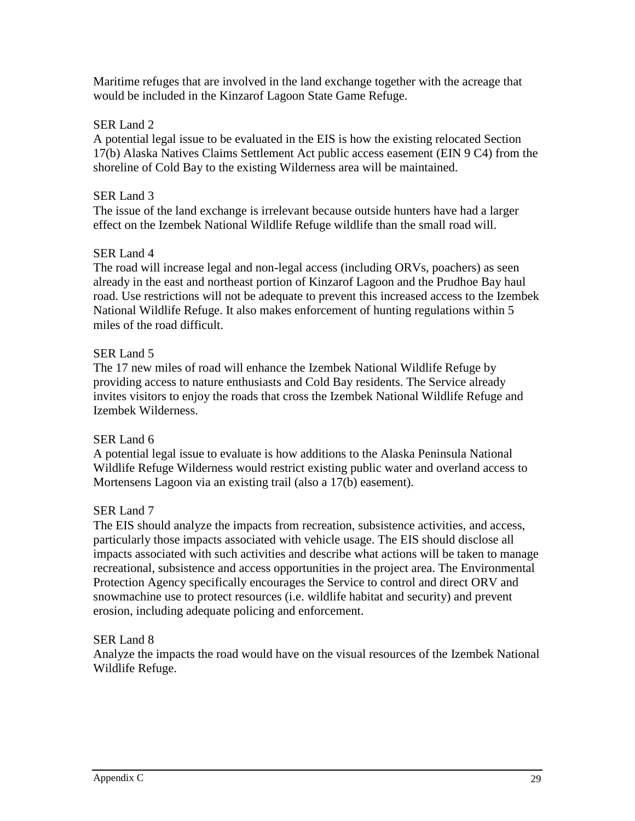Maritime refuges that are involved in the land exchange together with the acreage that would be included in the Kinzarof Lagoon State Game Refuge.

#### SER Land 2

A potential legal issue to be evaluated in the EIS is how the existing relocated Section 17(b) Alaska Natives Claims Settlement Act public access easement (EIN 9 C4) from the shoreline of Cold Bay to the existing Wilderness area will be maintained.

#### SER Land 3

The issue of the land exchange is irrelevant because outside hunters have had a larger effect on the Izembek National Wildlife Refuge wildlife than the small road will.

#### SER Land 4

The road will increase legal and non-legal access (including ORVs, poachers) as seen already in the east and northeast portion of Kinzarof Lagoon and the Prudhoe Bay haul road. Use restrictions will not be adequate to prevent this increased access to the Izembek National Wildlife Refuge. It also makes enforcement of hunting regulations within 5 miles of the road difficult.

### SER Land 5

The 17 new miles of road will enhance the Izembek National Wildlife Refuge by providing access to nature enthusiasts and Cold Bay residents. The Service already invites visitors to enjoy the roads that cross the Izembek National Wildlife Refuge and Izembek Wilderness.

### SER Land 6

A potential legal issue to evaluate is how additions to the Alaska Peninsula National Wildlife Refuge Wilderness would restrict existing public water and overland access to Mortensens Lagoon via an existing trail (also a 17(b) easement).

### SER Land 7

The EIS should analyze the impacts from recreation, subsistence activities, and access, particularly those impacts associated with vehicle usage. The EIS should disclose all impacts associated with such activities and describe what actions will be taken to manage recreational, subsistence and access opportunities in the project area. The Environmental Protection Agency specifically encourages the Service to control and direct ORV and snowmachine use to protect resources (i.e. wildlife habitat and security) and prevent erosion, including adequate policing and enforcement.

#### SER Land 8

Analyze the impacts the road would have on the visual resources of the Izembek National Wildlife Refuge.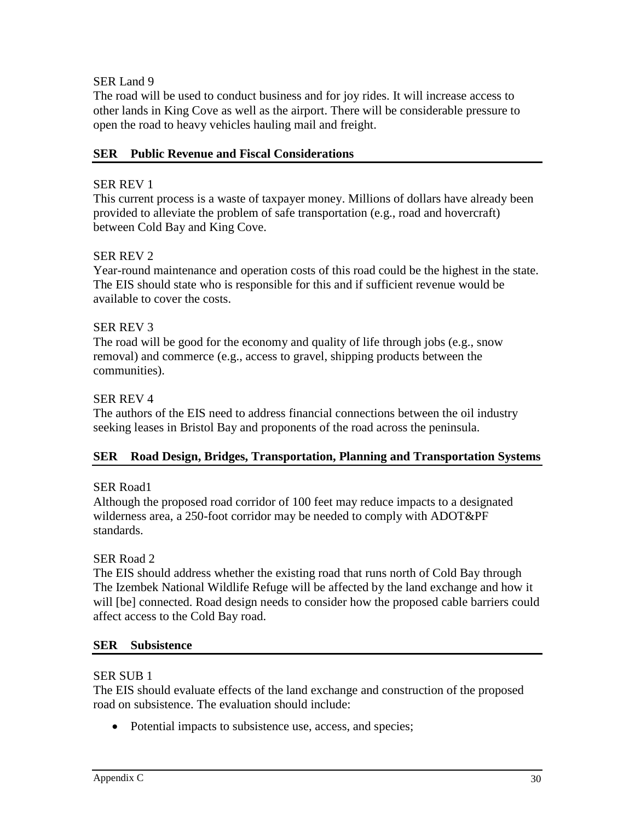### SER Land 9

The road will be used to conduct business and for joy rides. It will increase access to other lands in King Cove as well as the airport. There will be considerable pressure to open the road to heavy vehicles hauling mail and freight.

### **SER Public Revenue and Fiscal Considerations**

### SER REV 1

This current process is a waste of taxpayer money. Millions of dollars have already been provided to alleviate the problem of safe transportation (e.g., road and hovercraft) between Cold Bay and King Cove.

### SER REV 2

Year-round maintenance and operation costs of this road could be the highest in the state. The EIS should state who is responsible for this and if sufficient revenue would be available to cover the costs.

### SER REV 3

The road will be good for the economy and quality of life through jobs (e.g., snow removal) and commerce (e.g., access to gravel, shipping products between the communities).

#### SER REV 4

The authors of the EIS need to address financial connections between the oil industry seeking leases in Bristol Bay and proponents of the road across the peninsula.

### **SER Road Design, Bridges, Transportation, Planning and Transportation Systems**

### SER Road1

Although the proposed road corridor of 100 feet may reduce impacts to a designated wilderness area, a 250-foot corridor may be needed to comply with ADOT&PF standards.

### SER Road 2

The EIS should address whether the existing road that runs north of Cold Bay through The Izembek National Wildlife Refuge will be affected by the land exchange and how it will [be] connected. Road design needs to consider how the proposed cable barriers could affect access to the Cold Bay road.

#### **SER Subsistence**

#### SER SUB 1

The EIS should evaluate effects of the land exchange and construction of the proposed road on subsistence. The evaluation should include:

• Potential impacts to subsistence use, access, and species;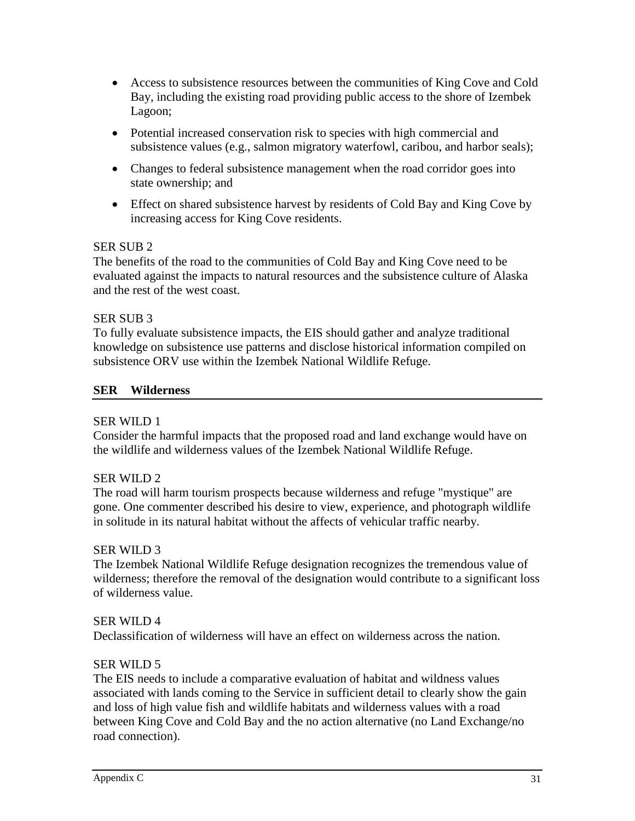- Access to subsistence resources between the communities of King Cove and Cold Bay, including the existing road providing public access to the shore of Izembek Lagoon;
- Potential increased conservation risk to species with high commercial and subsistence values (e.g., salmon migratory waterfowl, caribou, and harbor seals);
- Changes to federal subsistence management when the road corridor goes into state ownership; and
- Effect on shared subsistence harvest by residents of Cold Bay and King Cove by increasing access for King Cove residents.

### SER SUB 2

The benefits of the road to the communities of Cold Bay and King Cove need to be evaluated against the impacts to natural resources and the subsistence culture of Alaska and the rest of the west coast.

### SER SUB 3

To fully evaluate subsistence impacts, the EIS should gather and analyze traditional knowledge on subsistence use patterns and disclose historical information compiled on subsistence ORV use within the Izembek National Wildlife Refuge.

### **SER Wilderness**

### SER WILD 1

Consider the harmful impacts that the proposed road and land exchange would have on the wildlife and wilderness values of the Izembek National Wildlife Refuge.

# SER WILD 2

The road will harm tourism prospects because wilderness and refuge "mystique" are gone. One commenter described his desire to view, experience, and photograph wildlife in solitude in its natural habitat without the affects of vehicular traffic nearby.

### SER WILD 3

The Izembek National Wildlife Refuge designation recognizes the tremendous value of wilderness; therefore the removal of the designation would contribute to a significant loss of wilderness value.

### SER WILD 4

Declassification of wilderness will have an effect on wilderness across the nation.

# SER WILD 5

The EIS needs to include a comparative evaluation of habitat and wildness values associated with lands coming to the Service in sufficient detail to clearly show the gain and loss of high value fish and wildlife habitats and wilderness values with a road between King Cove and Cold Bay and the no action alternative (no Land Exchange/no road connection).